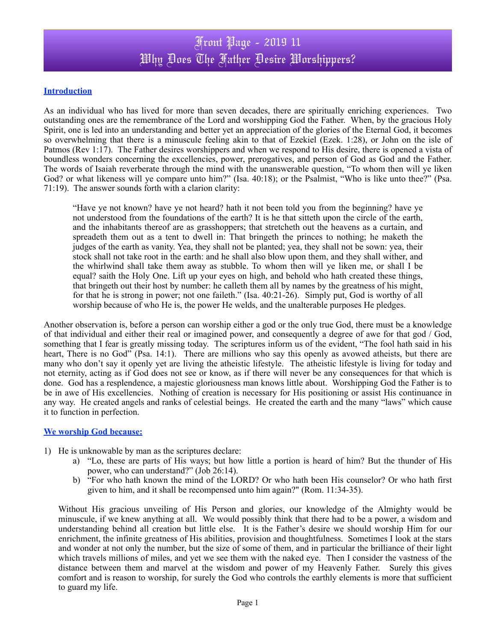### **Introduction**

As an individual who has lived for more than seven decades, there are spiritually enriching experiences. Two outstanding ones are the remembrance of the Lord and worshipping God the Father. When, by the gracious Holy Spirit, one is led into an understanding and better yet an appreciation of the glories of the Eternal God, it becomes so overwhelming that there is a minuscule feeling akin to that of Ezekiel (Ezek. 1:28), or John on the isle of Patmos (Rev 1:17). The Father desires worshippers and when we respond to His desire, there is opened a vista of boundless wonders concerning the excellencies, power, prerogatives, and person of God as God and the Father. The words of Isaiah reverberate through the mind with the unanswerable question, "To whom then will ye liken God? or what likeness will ye compare unto him?" (Isa. 40:18); or the Psalmist, "Who is like unto thee?" (Psa. 71:19). The answer sounds forth with a clarion clarity:

"Have ye not known? have ye not heard? hath it not been told you from the beginning? have ye not understood from the foundations of the earth? It is he that sitteth upon the circle of the earth, and the inhabitants thereof are as grasshoppers; that stretcheth out the heavens as a curtain, and spreadeth them out as a tent to dwell in: That bringeth the princes to nothing; he maketh the judges of the earth as vanity. Yea, they shall not be planted; yea, they shall not be sown: yea, their stock shall not take root in the earth: and he shall also blow upon them, and they shall wither, and the whirlwind shall take them away as stubble. To whom then will ye liken me, or shall I be equal? saith the Holy One. Lift up your eyes on high, and behold who hath created these things, that bringeth out their host by number: he calleth them all by names by the greatness of his might, for that he is strong in power; not one faileth." (Isa. 40:21-26). Simply put, God is worthy of all worship because of who He is, the power He welds, and the unalterable purposes He pledges.

Another observation is, before a person can worship either a god or the only true God, there must be a knowledge of that individual and either their real or imagined power, and consequently a degree of awe for that god / God, something that I fear is greatly missing today. The scriptures inform us of the evident, "The fool hath said in his heart, There is no God" (Psa. 14:1). There are millions who say this openly as avowed atheists, but there are many who don't say it openly yet are living the atheistic lifestyle. The atheistic lifestyle is living for today and not eternity, acting as if God does not see or know, as if there will never be any consequences for that which is done. God has a resplendence, a majestic gloriousness man knows little about. Worshipping God the Father is to be in awe of His excellencies. Nothing of creation is necessary for His positioning or assist His continuance in any way. He created angels and ranks of celestial beings. He created the earth and the many "laws" which cause it to function in perfection.

#### **We worship God because:**

- 1) He is unknowable by man as the scriptures declare:
	- a) "Lo, these are parts of His ways; but how little a portion is heard of him? But the thunder of His power, who can understand?" (Job 26:14).
	- b) "For who hath known the mind of the LORD? Or who hath been His counselor? Or who hath first given to him, and it shall be recompensed unto him again?" (Rom. 11:34-35).

Without His gracious unveiling of His Person and glories, our knowledge of the Almighty would be minuscule, if we knew anything at all. We would possibly think that there had to be a power, a wisdom and understanding behind all creation but little else. It is the Father's desire we should worship Him for our enrichment, the infinite greatness of His abilities, provision and thoughtfulness. Sometimes I look at the stars and wonder at not only the number, but the size of some of them, and in particular the brilliance of their light which travels millions of miles, and yet we see them with the naked eye. Then I consider the vastness of the distance between them and marvel at the wisdom and power of my Heavenly Father. Surely this gives comfort and is reason to worship, for surely the God who controls the earthly elements is more that sufficient to guard my life.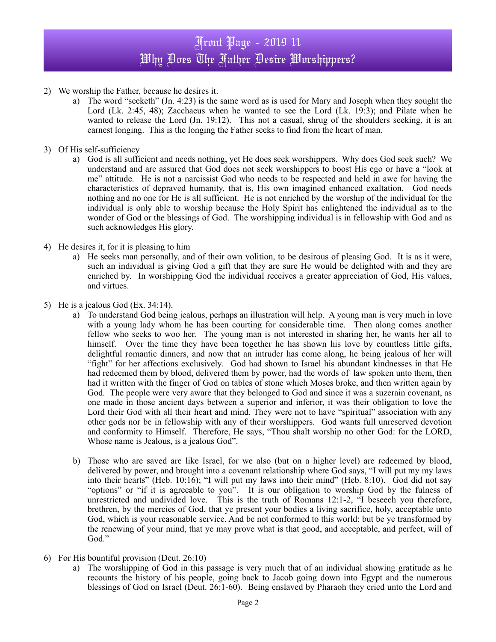# Front Page - 2019 11 Why Does The Father Desire Worshippers?

- 2) We worship the Father, because he desires it.
	- a) The word "seeketh" (Jn. 4:23) is the same word as is used for Mary and Joseph when they sought the Lord (Lk. 2:45, 48); Zacchaeus when he wanted to see the Lord (Lk. 19:3); and Pilate when he wanted to release the Lord (Jn. 19:12). This not a casual, shrug of the shoulders seeking, it is an earnest longing. This is the longing the Father seeks to find from the heart of man.
- 3) Of His self-sufficiency
	- a) God is all sufficient and needs nothing, yet He does seek worshippers. Why does God seek such? We understand and are assured that God does not seek worshippers to boost His ego or have a "look at me" attitude. He is not a narcissist God who needs to be respected and held in awe for having the characteristics of depraved humanity, that is, His own imagined enhanced exaltation. God needs nothing and no one for He is all sufficient. He is not enriched by the worship of the individual for the individual is only able to worship because the Holy Spirit has enlightened the individual as to the wonder of God or the blessings of God. The worshipping individual is in fellowship with God and as such acknowledges His glory.
- 4) He desires it, for it is pleasing to him
	- a) He seeks man personally, and of their own volition, to be desirous of pleasing God. It is as it were, such an individual is giving God a gift that they are sure He would be delighted with and they are enriched by. In worshipping God the individual receives a greater appreciation of God, His values, and virtues.
- 5) He is a jealous God (Ex. 34:14).
	- a) To understand God being jealous, perhaps an illustration will help. A young man is very much in love with a young lady whom he has been courting for considerable time. Then along comes another fellow who seeks to woo her. The young man is not interested in sharing her, he wants her all to himself. Over the time they have been together he has shown his love by countless little gifts, delightful romantic dinners, and now that an intruder has come along, he being jealous of her will "fight" for her affections exclusively. God had shown to Israel his abundant kindnesses in that He had redeemed them by blood, delivered them by power, had the words of law spoken unto them, then had it written with the finger of God on tables of stone which Moses broke, and then written again by God. The people were very aware that they belonged to God and since it was a suzerain covenant, as one made in those ancient days between a superior and inferior, it was their obligation to love the Lord their God with all their heart and mind. They were not to have "spiritual" association with any other gods nor be in fellowship with any of their worshippers. God wants full unreserved devotion and conformity to Himself. Therefore, He says, "Thou shalt worship no other God: for the LORD, Whose name is Jealous, is a jealous God".
	- b) Those who are saved are like Israel, for we also (but on a higher level) are redeemed by blood, delivered by power, and brought into a covenant relationship where God says, "I will put my my laws into their hearts" (Heb. 10:16); "I will put my laws into their mind" (Heb. 8:10). God did not say "options" or "if it is agreeable to you". It is our obligation to worship God by the fulness of unrestricted and undivided love. This is the truth of Romans 12:1-2, "I beseech you therefore, brethren, by the mercies of God, that ye present your bodies a living sacrifice, holy, acceptable unto God, which is your reasonable service. And be not conformed to this world: but be ye transformed by the renewing of your mind, that ye may prove what is that good, and acceptable, and perfect, will of God."
- 6) For His bountiful provision (Deut. 26:10)
	- a) The worshipping of God in this passage is very much that of an individual showing gratitude as he recounts the history of his people, going back to Jacob going down into Egypt and the numerous blessings of God on Israel (Deut. 26:1-60). Being enslaved by Pharaoh they cried unto the Lord and